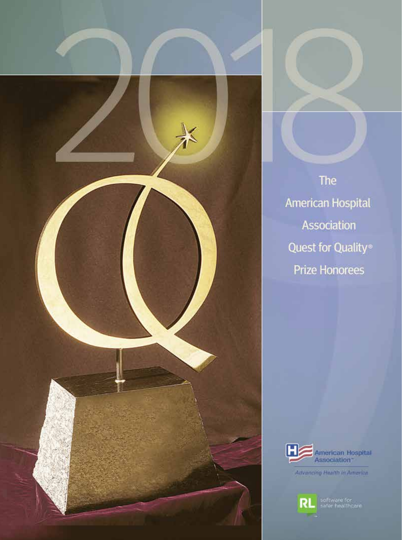

The American Hospital Association Quest for Quality® Prize Honorees



Advancing Health in America



software for<br>safer healthcare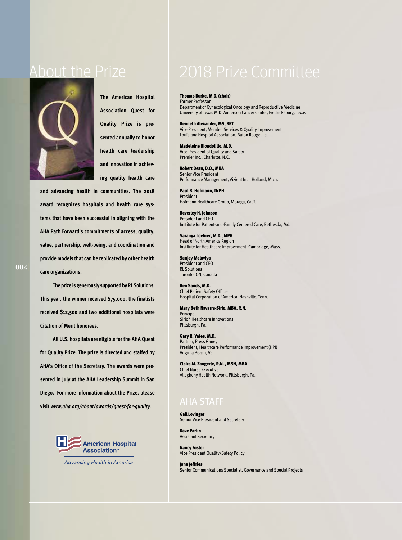## It the Prize



**The American Hospital Association Quest for Quality Prize is presented annually to honor health care leadership and innovation in achieving quality health care** 

**and advancing health in communities. The 2018 award recognizes hospitals and health care systems that have been successful in aligning with the AHA Path Forward's commitments of access, quality, value, partnership, well-being, and coordination and provide models that can be replicated by other health care organizations.**

**The prize is generously supported by RL Solutions. This year, the winner received \$75,000, the finalists received \$12,500 and two additional hospitals were Citation of Merit honorees.** 

**All U.S. hospitals are eligible for the AHA Quest for Quality Prize. The prize is directed and staffed by AHA's Office of the Secretary. The awards were presented in July at the AHA Leadership Summit in San Diego. For more information about the Prize, please visit www.aha.org/about/awards/quest-for-quality.**



**Advancing Health in America** 

Thomas Burke, M.D. (chair) Former Professor Department of Gynecological Oncology and Reproductive Medicine University of Texas M.D. Anderson Cancer Center, Fredricksburg, Texas

Kenneth Alexander, MS, RRT Vice President, Member Services & Quality Improvement Louisiana Hospital Association, Baton Rouge, La.

Madeleine Biondolillo, M.D. Vice President of Quality and Safety Premier Inc., Charlotte, N.C.

Robert Dean, D.O., MBA Senior Vice President Performance Management, Vizient Inc., Holland, Mich.

Paul B. Hofmann, DrPH President Hofmann Healthcare Group, Moraga, Calif.

Beverley H. Johnson President and CEO Institute for Patient-and-Family Centered Care, Bethesda, Md.

Saranya Loehrer, M.D., MPH Head of North America Region Institute for Healthcare Improvement, Cambridge, Mass.

Sanjay Malaviya President and CEO RL Solutions Toronto, ON, Canada

Ken Sands, M.D. Chief Patient Safety Officer Hospital Corporation of America, Nashville, Tenn.

Mary Beth Navarra-Sirio, MBA, R.N. Principal<br>Sirio<sup>2</sup> Healthcare Innovations Pittsburgh, Pa.

Gary R. Yates, M.D. Partner, Press Ganey President, Healthcare Performance Improvement (HPI) Virginia Beach, Va.

Claire M. Zangerle, R.N. , MSN, MBA Chief Nurse Executive Allegheny Health Network, Pittsburgh, Pa.

Gail Lovinger Senior Vice President and Secretary

Dave Parlin Assistant Secretary

Nancy Foster Vice President Quality/Safety Policy

Jane Jeffries Senior Communications Specialist, Governance and Special Projects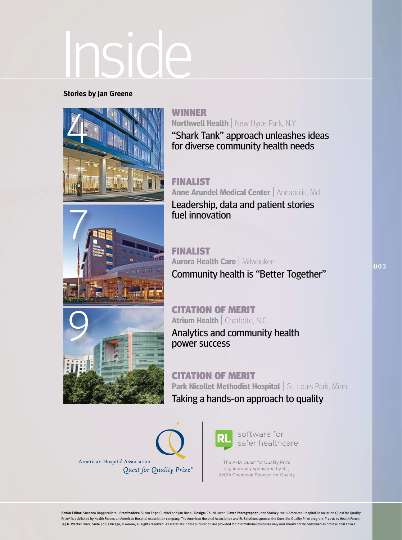# Inside

#### **Stories by Jan Greene**





#### WINNER

**Northwell Health** | New Hyde Park, N.Y. "Shark Tank" approach unleashes ideas for diverse community health needs

### FINALIST

**Anne Arundel Medical Center** | Annapolis, Md.

Leadership, data and patient stories fuel innovation

## FINALIST

**Aurora Health Care** | Milwaukee Community health is "Better Together"

|**003**



CITATION OF MERIT **Atrium Health** | Charlotte, N.C. Analytics and community health power success

CITATION OF MERIT **Park Nicollet Methodist Hospital** | St. Louis Park, Minn. Taking a hands-on approach to quality

American Hospital Association Quest for Quality Prize<sup>®</sup>



software for safer healthcare

The AHA Quest for Quality Prize is generously sponsored by RL, AHA's Champion Sponsor for Quality

**Senior Editor:** Suzanna Hoppszallern | **Proofreaders:** Susan Edge-Gumbel and Jan Nash | **Design:** Chuck Lazar | **Cover Photographer:** John Starkey. 2018 American Hospital Association Quest for Quality Prize® is published by Health Forum, an American Hospital Association company. The American Hospital Association and RL Solutions sponsor the Quest for Quality Prize program. ©2018 by Health Forum, 155 N. Wacker Drive, Suite 400, Chicago, IL 60606, all rights reserved. All materials in this publication are provided for informational purposes only and should not be construed as professional advice.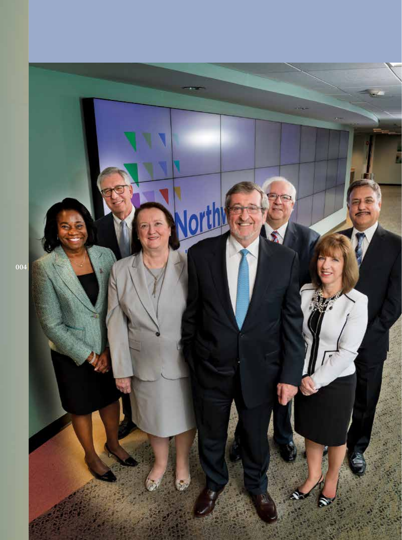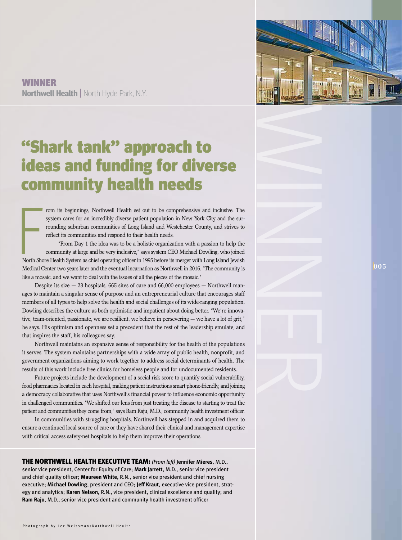WINNER **Northwell Health** | North Hyde Park, N.Y.



## "Shark tank" approach to ideas and funding for diverse community health needs

From its beginnings, Northwell Health set out to be comprehensive and inclusive. The system cares for an incredibly diverse patient population in New York City and the surrounding suburban communities of Long Island and We rom its beginnings, Northwell Health set out to be comprehensive and inclusive. The system cares for an incredibly diverse patient population in New York City and the surrounding suburban communities of Long Island and Westchester County, and strives to reflect its communities and respond to their health needs.

"From Day 1 the idea was to be a holistic organization with a passion to help the community at large and be very inclusive," says system CEO Michael Dowling, who joined Medical Center two years later and the eventual incarnation as Northwell in 2016. "The community is like a mosaic, and we want to deal with the issues of all the pieces of the mosaic."

Despite its size  $-23$  hospitals, 665 sites of care and 66,000 employees  $-$  Northwell manages to maintain a singular sense of purpose and an entrepreneurial culture that encourages staff members of all types to help solve the health and social challenges of its wide-ranging population. Dowling describes the culture as both optimistic and impatient about doing better. "We're innovative, team-oriented, passionate, we are resilient, we believe in persevering — we have a lot of grit," he says. His optimism and openness set a precedent that the rest of the leadership emulate, and that inspires the staff, his colleagues say.

Northwell maintains an expansive sense of responsibility for the health of the populations it serves. The system maintains partnerships with a wide array of public health, nonprofit, and government organizations aiming to work together to address social determinants of health. The results of this work include free clinics for homeless people and for undocumented residents.

Future projects include the development of a social risk score to quantify social vulnerability, food pharmacies located in each hospital, making patient instructions smart phone-friendly, and joining a democracy collaborative that uses Northwell's financial power to influence economic opportunity in challenged communities. "We shifted our lens from just treating the disease to starting to treat the patient and communities they come from," says Ram Raju, M.D., community health investment officer.

In communities with struggling hospitals, Northwell has stepped in and acquired them to ensure a continued local source of care or they have shared their clinical and management expertise with critical access safety-net hospitals to help them improve their operations.

#### THE NORTHWELL HEALTH EXECUTIVE TEAM: (From left) **Jennifer Mieres**, M.D.,

senior vice president, Center for Equity of Care; **Mark Jarrett**, M.D., senior vice president and chief quality officer; **Maureen White**, R.N., senior vice president and chief nursing executive; **Michael Dowling**, president and CEO; **Jeff Kraut**, executive vice president, strategy and analytics; **Karen Nelson**, R.N., vice president, clinical excellence and quality; and **Ram Raju**, M.D., senior vice president and community health investment officer

| **005**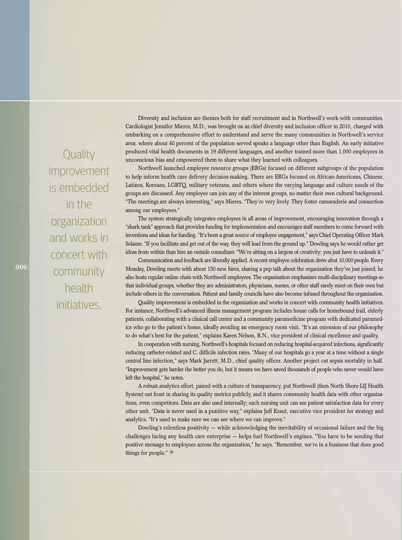**Quality** improvement is embedded in the organization and works in concert with community health initiatives.

Diversity and inclusion are themes both for staff recruitment and in Northwell's work with communities. Cardiologist Jennifer Mieres, M.D., was brought on as chief diversity and inclusion officer in 2010, charged with embarking on a comprehensive effort to understand and serve the many communities in Northwell's service area, where about 40 percent of the population served speaks a language other than English. An early initiative produced vital health documents in 19 different languages, and another trained more than 1,000 employees in unconscious bias and empowered them to share what they learned with colleagues.

Northwell launched employee resource groups (ERGs) focused on different subgroups of the population to help inform health care delivery decision-making. There are ERGs focused on African-Americans, Chinese, Latinos, Koreans, LGBTQ, military veterans, and others where the varying language and culture needs of the groups are discussed. Any employee can join any of the interest groups, no matter their own cultural background. "The meetings are always interesting," says Mieres. "They're very lively. They foster camaraderie and connection among our employees."

The system strategically integrates employees in all areas of improvement, encouraging innovation through a "shark tank" approach that provides funding for implementation and encourages staff members to come forward with inventions and ideas for funding. "It's been a great source of employee engagement," says Chief Operating Officer Mark Solazzo. "If you facilitate and get out of the way, they will lead from the ground up." Dowling says he would rather get ideas from within than hire an outside consultant: "We're sitting on a largess of creativity; you just have to unleash it."

Communication and feedback are liberally applied. A recent employee celebration drew abut 10,000 people. Every Monday, Dowling meets with about 150 new hires, sharing a pep talk about the organization they've just joined; he also hosts regular online chats with Northwell employees. The organization emphasizes multi-disciplinary meetings so that individual groups, whether they are administrators, physicians, nurses, or other staff rarely meet on their own but include others in the conversation. Patient and family councils have also become infused throughout the organization.

Quality improvement is embedded in the organization and works in concert with community health initiatives. For instance, Northwell's advanced illness management program includes house calls for homebound frail, elderly patients, collaborating with a clinical call center and a community paramedicine program with dedicated paramedics who go to the patient's home, ideally avoiding an emergency room visit. "It's an extension of our philosophy to do what's best for the patient," explains Karen Nelson, R.N., vice president of clinical excellence and quality.

In cooperation with nursing, Northwell's hospitals focused on reducing hospital-acquired infections, significantly reducing catheter-related and C. difficile infection rates. "Many of our hospitals go a year at a time without a single central line infection," says Mark Jarrett, M.D., chief quality officer. Another project cut sepsis mortality in half. "Improvement gets harder the better you do, but it means we have saved thousands of people who never would have left the hospital," he notes.

A robust analytics effort, paired with a culture of transparency, put Northwell (then North Shore-LIJ Health System) out front in sharing its quality metrics publicly, and it shares community health data with other organizations, even competitors. Data are also used internally; each nursing unit can see patient satisfaction data for every other unit. "Data is never used in a punitive way," explains Jeff Kraut, executive vice president for strategy and analytics. "It's used to make sure we can see where we can improve."

Dowling's relentless positivity — while acknowledging the inevitability of occasional failure and the big challenges facing any health care enterprise — helps fuel Northwell's engines. "You have to be sending that positive message to employees across the organization," he says. "Remember, we're in a business that does good things for people." **•**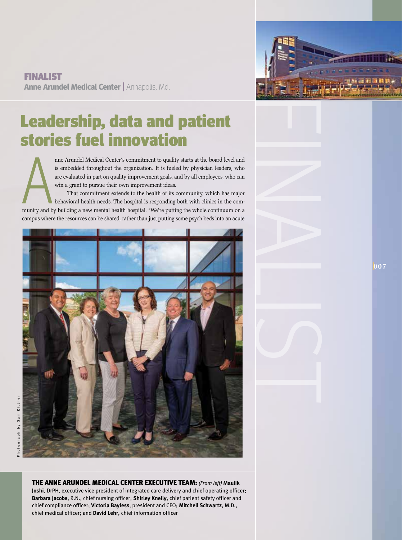FINALIST **Anne Arundel Medical Center** | Annapolis, Md.



## Leadership, data and patient stories fuel innovation

me Arundel Medical Center's commitment to quality starts at the board level and<br>is embedded throughout the organization. It is fueled by physician leaders, who<br>are evaluated in part on quality improvement goals, and by all nne Arundel Medical Center's commitment to quality starts at the board level and is embedded throughout the organization. It is fueled by physician leaders, who are evaluated in part on quality improvement goals, and by all employees, who can win a grant to pursue their own improvement ideas.

That commitment extends to the health of its community, which has major behavioral health needs. The hospital is responding both with clinics in the comcampus where the resources can be shared, rather than just putting some psych beds into an acute



#### THE ANNE ARUNDEL MEDICAL CENTER EXECUTIVE TEAM: (From left) **Maulik Joshi**, DrPH, executive vice president of integrated care delivery and chief operating officer;

**Barbara Jacobs**, R.N., chief nursing officer; **Shirley Knelly**, chief patient safety officer and chief compliance officer; **Victoria Bayless**, president and CEO; **Mitchell Schwartz**, M.D., chief medical officer; and **David Lehr**, chief information officer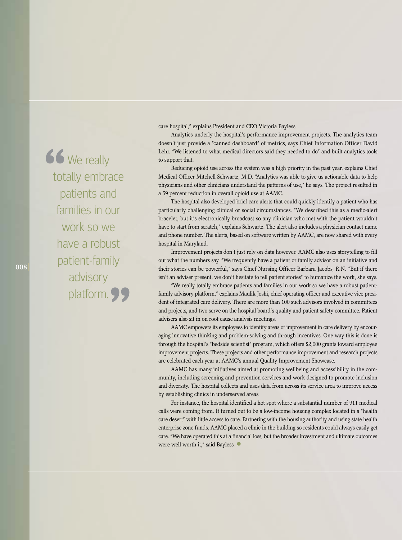care hospital," explains President and CEO Victoria Bayless.

Analytics underly the hospital's performance improvement projects. The analytics team doesn't just provide a "canned dashboard" of metrics, says Chief Information Officer David Lehr. "We listened to what medical directors said they needed to do" and built analytics tools to support that.

Reducing opioid use across the system was a high priority in the past year, explains Chief Medical Officer Mitchell Schwartz, M.D. "Analytics was able to give us actionable data to help physicians and other clinicians understand the patterns of use," he says. The project resulted in a 59 percent reduction in overall opioid use at AAMC.

The hospital also developed brief care alerts that could quickly identify a patient who has particularly challenging clinical or social circumstances. "We described this as a medic-alert bracelet, but it's electronically broadcast so any clinician who met with the patient wouldn't have to start from scratch," explains Schwartz. The alert also includes a physician contact name and phone number. The alerts, based on software written by AAMC, are now shared with every hospital in Maryland.

Improvement projects don't just rely on data however. AAMC also uses storytelling to fill out what the numbers say. "We frequently have a patient or family advisor on an initiative and their stories can be powerful," says Chief Nursing Officer Barbara Jacobs, R.N. "But if there isn't an adviser present, we don't hesitate to tell patient stories" to humanize the work, she says.

"We really totally embrace patients and families in our work so we have a robust patientfamily advisory platform," explains Maulik Joshi, chief operating officer and executive vice president of integrated care delivery. There are more than 100 such advisors involved in committees and projects, and two serve on the hospital board's quality and patient safety committee. Patient advisers also sit in on root cause analysis meetings.

AAMC empowers its employees to identify areas of improvement in care delivery by encouraging innovative thinking and problem-solving and through incentives. One way this is done is through the hospital's "bedside scientist" program, which offers \$2,000 grants toward employee improvement projects. These projects and other performance improvement and research projects are celebrated each year at AAMC's annual Quality Improvement Showcase.

AAMC has many initiatives aimed at promoting wellbeing and accessibility in the community, including screening and prevention services and work designed to promote inclusion and diversity. The hospital collects and uses data from across its service area to improve access by establishing clinics in underserved areas.

For instance, the hospital identified a hot spot where a substantial number of 911 medical calls were coming from. It turned out to be a low-income housing complex located in a "health care desert" with little access to care. Partnering with the housing authority and using state health enterprise zone funds, AAMC placed a clinic in the building so residents could always easily get care. "We have operated this at a financial loss, but the broader investment and ultimate outcomes were well worth it," said Bayless. **•**

We really totally embrace patients and families in our work so we have a robust patient-family advisory platform. 99 **66**<br>tot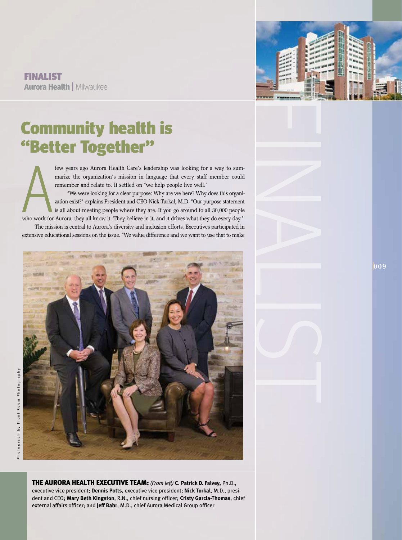FINALIST **Aurora Health** | Milwaukee



## Community health is "Better Together"

few years ago Aurora Health Care's leadership was looking for a way to summarize the organization's mission in language that every staff member could remember and relate to. It settled on "we help people live well."

Few years ago Aurora Health Care's leadership was looking for a way to summarize the organization's mission in language that every staff member could remember and relate to. It settled on "we help people live well."<br>"We we "We were looking for a clear purpose: Why are we here? Why does this organization exist?" explains President and CEO Nick Turkal, M.D. "Our purpose statement is all about meeting people where they are. If you go around to all 30,000 people

The mission is central to Aurora's diversity and inclusion efforts. Executives participated in extensive educational sessions on the issue. "We value difference and we want to use that to make



THE AURORA HEALTH EXECUTIVE TEAM: (From left) **C. Patrick D. Falvey,** Ph.D., executive vice president; **Dennis Potts,** executive vice president; **Nick Turkal**, M.D., president and CEO; **Mary Beth Kingston**, R.N., chief nursing officer; **Cristy Garcia-Thomas**, chief external affairs officer; and **Jeff Bahr**, M.D., chief Aurora Medical Group officer

| **009**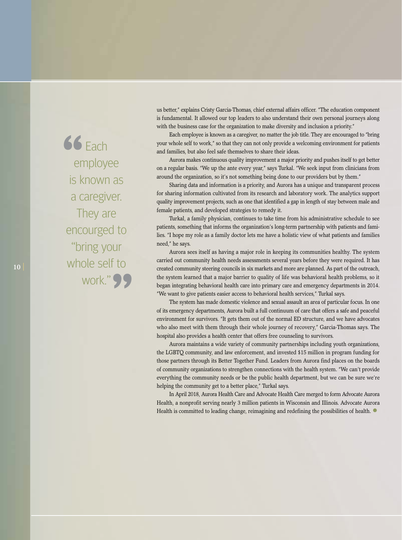**Each** employee is known as a caregiver. They are encourged to "bring your whole self to work." **99 66**<br>
en

us better," explains Cristy Garcia-Thomas, chief external affairs officer. "The education component is fundamental. It allowed our top leaders to also understand their own personal journeys along with the business case for the organization to make diversity and inclusion a priority."

Each employee is known as a caregiver, no matter the job title. They are encouraged to "bring your whole self to work," so that they can not only provide a welcoming environment for patients and families, but also feel safe themselves to share their ideas.

Aurora makes continuous quality improvement a major priority and pushes itself to get better on a regular basis. "We up the ante every year," says Turkal. "We seek input from clinicians from around the organization, so it's not something being done to our providers but by them."

Sharing data and information is a priority, and Aurora has a unique and transparent process for sharing information cultivated from its research and laboratory work. The analytics support quality improvement projects, such as one that identified a gap in length of stay between male and female patients, and developed strategies to remedy it.

Turkal, a family physician, continues to take time from his administrative schedule to see patients, something that informs the organization's long-term partnership with patients and families. "I hope my role as a family doctor lets me have a holistic view of what patients and families need," he says.

Aurora sees itself as having a major role in keeping its communities healthy. The system carried out community health needs assessments several years before they were required. It has created community steering councils in six markets and more are planned. As part of the outreach, the system learned that a major barrier to quality of life was behavioral health problems, so it began integrating behavioral health care into primary care and emergency departments in 2014. "We want to give patients easier access to behavioral health services," Turkal says.

The system has made domestic violence and sexual assault an area of particular focus. In one of its emergency departments, Aurora built a full continuum of care that offers a safe and peaceful environment for survivors. "It gets them out of the normal ED structure, and we have advocates who also meet with them through their whole journey of recovery," Garcia-Thomas says. The hospital also provides a health center that offers free counseling to survivors.

Aurora maintains a wide variety of community partnerships including youth organizations, the LGBTQ community, and law enforcement, and invested \$15 million in program funding for those partners through its Better Together Fund. Leaders from Aurora find places on the boards of community organizations to strengthen connections with the health system. "We can't provide everything the community needs or be the public health department, but we can be sure we're helping the community get to a better place," Turkal says.

In April 2018, Aurora Health Care and Advocate Health Care merged to form Advocate Aurora Health, a nonprofit serving nearly 3 million patients in Wisconsin and Illinois. Advocate Aurora Health is committed to leading change, reimagining and redefining the possibilities of health. **•**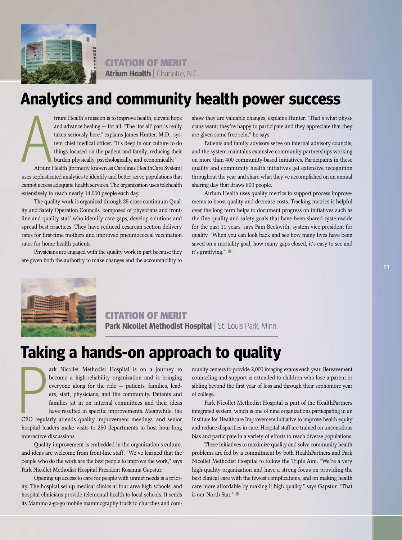

CITATION OF MERIT **Atrium Health** | Charlotte, N.C.

## **Analytics and community health power success**

 $\sum_{\text{Artium}}$ trium Health's mission is to improve health, elevate hope and advance healing — for all. "The 'for all' part is really taken seriously here," explains James Hunter, M.D., system chief medical officer. "It's deep in our culture to do things focused on the patient and family, reducing their burden physically, psychologically, and economically."

Atrium Health (formerly known as Carolinas HealthCare System) uses sophisticated analytics to identify and better serve populations that cannot access adequate health services. The organization uses telehealth extensively to reach nearly 14,000 people each day.

The quality work is organized through 25 cross-continuum Quality and Safety Operation Councils, composed of physicians and frontline and quality staff who identify care gaps, develop solutions and spread best practices. They have reduced cesarean section delivery rates for first-time mothers and improved pneumococcal vaccination rates for home health patients.

Physicians are engaged with the quality work in part because they are given both the authority to make changes and the accountability to show they are valuable changes, explains Hunter. "That's what physicians want; they're happy to participate and they appreciate that they are given some free rein," he says.

Patients and family advisors serve on internal advisory councils, and the system maintains extensive community partnerships working on more than 400 community-based initiatives. Participants in these quality and community health initiatives get extensive recognition throughout the year and share what they've accomplished on an annual sharing day that draws 800 people.

Atrium Health uses quality metrics to support process improvements to boost quality and decrease costs. Tracking metrics is helpful over the long term helps to document progress on initiatives such as the five quality and safety goals that have been shared systemwide for the past 11 years, says Pam Beckwith, system vice president for quality. "When you can look back and see how many lives have been saved on a mortality goal, how many gaps closed, it's easy to see and it's gratifying." **•**



#### CITATION OF MERIT

**Park Nicollet Methodist Hospital** | St. Louis Park, Minn.

## **Taking a hands-on approach to quality**

CEO regul ark Nicollet Methodist Hospital is on a journey to become a high-reliability organization and is bringing everyone along for the ride — patients, families, leaders, staff, physicians, and the community. Patients and families sit in on internal committees and their ideas have resulted in specific improvements. Meanwhile, the

CEO regularly attends quality improvement meetings, and senior hospital leaders make visits to 250 departments to host hour-long interactive discussions.

Quality improvement is embedded in the organization's culture, and ideas are welcome from front-line staff. "We've learned that the people who do the work are the best people to improve the work," says Park Nicollet Methodist Hospital President Roxanna Gapstur.

Opening up access to care for people with unmet needs is a priority. The hospital set up medical clinics at four area high schools, and hospital clinicians provide telemental health to local schools. It sends its Mammo a-go-go mobile mammography truck to churches and community centers to provide 2,000 imaging exams each year. Bereavement counseling and support is extended to children who lose a parent or sibling beyond the first year of loss and through their sophomore year of college.

Park Nicollet Methodist Hospital is part of the HealthPartners integrated system, which is one of nine organizations participating in an Institute for Healthcare Improvement initiative to improve health equity and reduce disparities in care. Hospital staff are trained on unconscious bias and participate in a variety of efforts to reach diverse populations.

These initiatives to maximize quality and solve community health problems are fed by a commitment by both HealthPartners and Park Nicollet Methodist Hospital to follow the Triple Aim. "We're a very high-quality organization and have a strong focus on providing the best clinical care with the fewest complications, and on making health care more affordable by making it high quality," says Gapstur. "That is our North Star." **•**